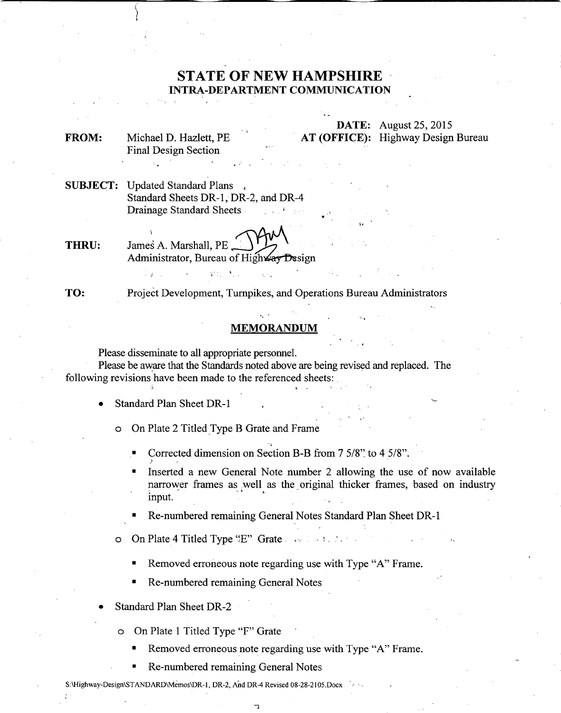## **STATE OF NEW HAMPSHIRE INTRA-DEPARTMENT COMMUNICATION**

**FROM:** Michael D. Hazlett, PE Final Design Section **DATE:** August 25,2015 **AT (OFFICE):** Highway Design Bureau

**SUBJECT:** Updated Standard Plans , Standard Sheets DR-I, DR-2, and DR-4 Drainage Standard Sheets .

**THRU:** James A. Marshall, PE Administrator, Bureau of Highway Design

 $\mathbf{Y}^{(1)}$  :

**TO:** Project Development, Turnpikes, and Operations Bureau Administrators

## **MEMORANDUM**

Please disseminate to all appropriate personnel.

Please be aware that the Standards noted above are being revised and replaced. The following revisions have been made to the referenced sheets:

• Standard Plan Sheet DR-l

o On Plate 2 Titled Type B Grate and Frame

- Corrected dimension on Section B-B from 7 5/8': to 4 5/8" .
- Inserted a new General Note number 2 allowing the use of now available narrower frames as well as the original thicker frames, based on industry input.

\.

• Re-numbered remaining General Notes Standard Plan Sheet DR-I

- $\circ$  On Plate 4 Titled Type "E" Grate
	- Removed erroneous note regarding use with Type "A" Frame.
	- Re-numbered remaining General Notes
- Standard Plan Sheet DR-2
	- o On Plate 1 Titled Type "F" Grate
		- Removed erroneous note regarding use with Type "A" Frame.
		- Re-numbered remaining General Notes
- S:\Highway-Design\STANDARD\Memos\DR-1, DR-2, And DR-4 Revised 08-28-2105.Docx